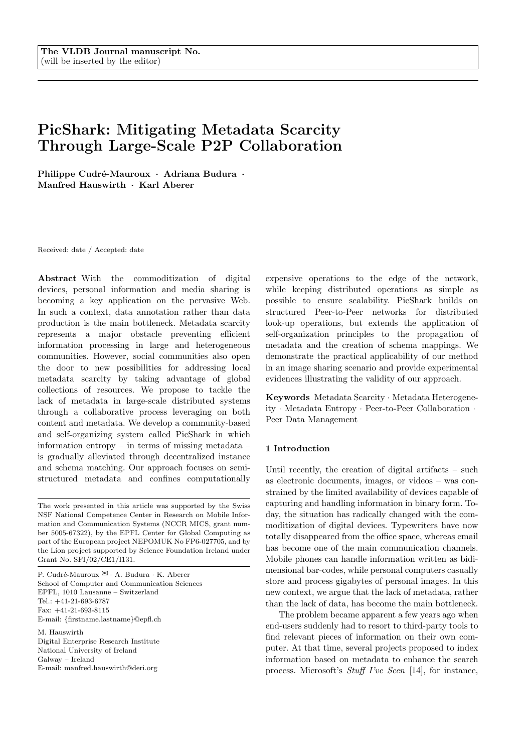# PicShark: Mitigating Metadata Scarcity Through Large-Scale P2P Collaboration

Philippe Cudré-Mauroux · Adriana Budura · Manfred Hauswirth · Karl Aberer

Received: date / Accepted: date

Abstract With the commoditization of digital devices, personal information and media sharing is becoming a key application on the pervasive Web. In such a context, data annotation rather than data production is the main bottleneck. Metadata scarcity represents a major obstacle preventing efficient information processing in large and heterogeneous communities. However, social communities also open the door to new possibilities for addressing local metadata scarcity by taking advantage of global collections of resources. We propose to tackle the lack of metadata in large-scale distributed systems through a collaborative process leveraging on both content and metadata. We develop a community-based and self-organizing system called PicShark in which information entropy – in terms of missing metadata – is gradually alleviated through decentralized instance and schema matching. Our approach focuses on semistructured metadata and confines computationally

School of Computer and Communication Sciences EPFL, 1010 Lausanne – Switzerland Tel.: +41-21-693-6787 Fax: +41-21-693-8115 E-mail: {firstname.lastname}@epfl.ch

M. Hauswirth Digital Enterprise Research Institute National University of Ireland Galway – Ireland E-mail: manfred.hauswirth@deri.org

expensive operations to the edge of the network, while keeping distributed operations as simple as possible to ensure scalability. PicShark builds on structured Peer-to-Peer networks for distributed look-up operations, but extends the application of self-organization principles to the propagation of metadata and the creation of schema mappings. We demonstrate the practical applicability of our method in an image sharing scenario and provide experimental evidences illustrating the validity of our approach.

Keywords Metadata Scarcity · Metadata Heterogeneity · Metadata Entropy · Peer-to-Peer Collaboration · Peer Data Management

#### 1 Introduction

Until recently, the creation of digital artifacts – such as electronic documents, images, or videos – was constrained by the limited availability of devices capable of capturing and handling information in binary form. Today, the situation has radically changed with the commoditization of digital devices. Typewriters have now totally disappeared from the office space, whereas email has become one of the main communication channels. Mobile phones can handle information written as bidimensional bar-codes, while personal computers casually store and process gigabytes of personal images. In this new context, we argue that the lack of metadata, rather than the lack of data, has become the main bottleneck.

The problem became apparent a few years ago when end-users suddenly had to resort to third-party tools to find relevant pieces of information on their own computer. At that time, several projects proposed to index information based on metadata to enhance the search process. Microsoft's Stuff I've Seen [14], for instance,

The work presented in this article was supported by the Swiss NSF National Competence Center in Research on Mobile Information and Communication Systems (NCCR MICS, grant number 5005-67322), by the EPFL Center for Global Computing as part of the European project NEPOMUK No FP6-027705, and by the Líon project supported by Science Foundation Ireland under Grant No. SFI/02/CE1/I131. information entropy – in terms of miss<br>is gradually alleviated through decent:<br>and schema matching. Our approach fi<br>structured metadata and confines c<br> $\overline{\text{N}}$ -Mauron metals and confines on the sumplem of the work prese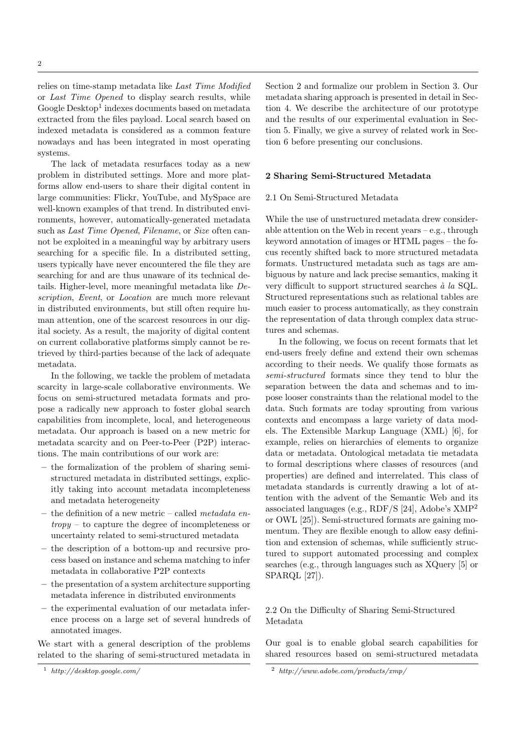relies on time-stamp metadata like Last Time Modified or Last Time Opened to display search results, while Google Desktop<sup>1</sup> indexes documents based on metadata extracted from the files payload. Local search based on indexed metadata is considered as a common feature nowadays and has been integrated in most operating systems.

The lack of metadata resurfaces today as a new problem in distributed settings. More and more platforms allow end-users to share their digital content in large communities: Flickr, YouTube, and MySpace are well-known examples of that trend. In distributed environments, however, automatically-generated metadata such as Last Time Opened, Filename, or Size often cannot be exploited in a meaningful way by arbitrary users searching for a specific file. In a distributed setting, users typically have never encountered the file they are searching for and are thus unaware of its technical details. Higher-level, more meaningful metadata like Description, Event, or Location are much more relevant in distributed environments, but still often require human attention, one of the scarcest resources in our digital society. As a result, the majority of digital content on current collaborative platforms simply cannot be retrieved by third-parties because of the lack of adequate metadata.

In the following, we tackle the problem of metadata scarcity in large-scale collaborative environments. We focus on semi-structured metadata formats and propose a radically new approach to foster global search capabilities from incomplete, local, and heterogeneous metadata. Our approach is based on a new metric for metadata scarcity and on Peer-to-Peer (P2P) interactions. The main contributions of our work are:

- the formalization of the problem of sharing semistructured metadata in distributed settings, explicitly taking into account metadata incompleteness and metadata heterogeneity
- the definition of a new metric called metadata entropy – to capture the degree of incompleteness or uncertainty related to semi-structured metadata
- the description of a bottom-up and recursive process based on instance and schema matching to infer metadata in collaborative P2P contexts
- the presentation of a system architecture supporting metadata inference in distributed environments
- the experimental evaluation of our metadata inference process on a large set of several hundreds of annotated images.

We start with a general description of the problems related to the sharing of semi-structured metadata in

Section 2 and formalize our problem in Section 3. Our metadata sharing approach is presented in detail in Section 4. We describe the architecture of our prototype and the results of our experimental evaluation in Section 5. Finally, we give a survey of related work in Section 6 before presenting our conclusions.

#### 2 Sharing Semi-Structured Metadata

#### 2.1 On Semi-Structured Metadata

While the use of unstructured metadata drew considerable attention on the Web in recent years – e.g., through keyword annotation of images or HTML pages – the focus recently shifted back to more structured metadata formats. Unstructured metadata such as tags are ambiguous by nature and lack precise semantics, making it very difficult to support structured searches  $\dot{a}$  la SQL. Structured representations such as relational tables are much easier to process automatically, as they constrain the representation of data through complex data structures and schemas.

In the following, we focus on recent formats that let end-users freely define and extend their own schemas according to their needs. We qualify those formats as semi-structured formats since they tend to blur the separation between the data and schemas and to impose looser constraints than the relational model to the data. Such formats are today sprouting from various contexts and encompass a large variety of data models. The Extensible Markup Language (XML) [6], for example, relies on hierarchies of elements to organize data or metadata. Ontological metadata tie metadata to formal descriptions where classes of resources (and properties) are defined and interrelated. This class of metadata standards is currently drawing a lot of attention with the advent of the Semantic Web and its associated languages (e.g., RDF/S [24], Adobe's XMP<sup>2</sup> or OWL [25]). Semi-structured formats are gaining momentum. They are flexible enough to allow easy definition and extension of schemas, while sufficiently structured to support automated processing and complex searches (e.g., through languages such as XQuery [5] or SPARQL [27]).

# 2.2 On the Difficulty of Sharing Semi-Structured Metadata

Our goal is to enable global search capabilities for shared resources based on semi-structured metadata

<sup>1</sup> http://desktop.google.com/

<sup>2</sup> http://www.adobe.com/products/xmp/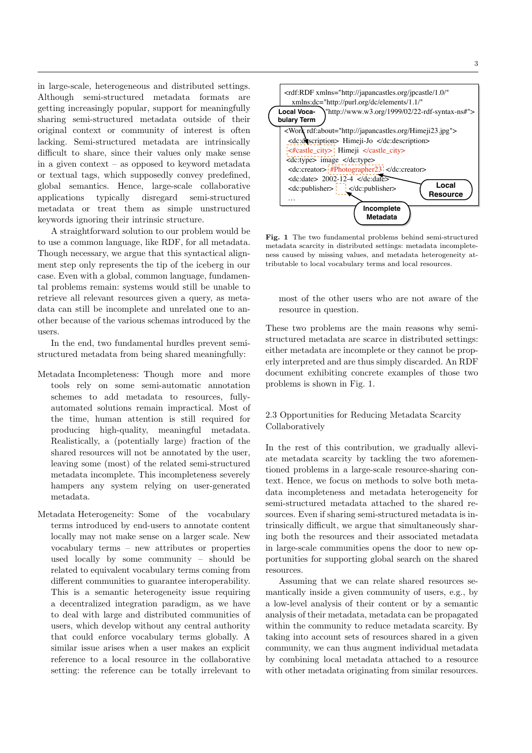in large-scale, heterogeneous and distributed settings. Although semi-structured metadata formats are getting increasingly popular, support for meaningfully sharing semi-structured metadata outside of their original context or community of interest is often lacking. Semi-structured metadata are intrinsically difficult to share, since their values only make sense in a given context – as opposed to keyword metadata or textual tags, which supposedly convey predefined, global semantics. Hence, large-scale collaborative applications typically disregard semi-structured metadata or treat them as simple unstructured keywords ignoring their intrinsic structure.

A straightforward solution to our problem would be to use a common language, like RDF, for all metadata. Though necessary, we argue that this syntactical alignment step only represents the tip of the iceberg in our case. Even with a global, common language, fundamental problems remain: systems would still be unable to retrieve all relevant resources given a query, as metadata can still be incomplete and unrelated one to another because of the various schemas introduced by the users.

In the end, two fundamental hurdles prevent semistructured metadata from being shared meaningfully:

- Metadata Incompleteness: Though more and more tools rely on some semi-automatic annotation schemes to add metadata to resources, fullyautomated solutions remain impractical. Most of the time, human attention is still required for producing high-quality, meaningful metadata. Realistically, a (potentially large) fraction of the shared resources will not be annotated by the user, leaving some (most) of the related semi-structured metadata incomplete. This incompleteness severely hampers any system relying on user-generated metadata.
- Metadata Heterogeneity: Some of the vocabulary terms introduced by end-users to annotate content locally may not make sense on a larger scale. New vocabulary terms – new attributes or properties used locally by some community – should be related to equivalent vocabulary terms coming from different communities to guarantee interoperability. This is a semantic heterogeneity issue requiring a decentralized integration paradigm, as we have to deal with large and distributed communities of users, which develop without any central authority that could enforce vocabulary terms globally. A similar issue arises when a user makes an explicit reference to a local resource in the collaborative setting: the reference can be totally irrelevant to



Fig. 1 The two fundamental problems behind semi-structured metadata scarcity in distributed settings: metadata incompleteness caused by missing values, and metadata heterogeneity attributable to local vocabulary terms and local resources.

most of the other users who are not aware of the resource in question.

These two problems are the main reasons why semistructured metadata are scarce in distributed settings: either metadata are incomplete or they cannot be properly interpreted and are thus simply discarded. An RDF document exhibiting concrete examples of those two problems is shown in Fig. 1.

# 2.3 Opportunities for Reducing Metadata Scarcity Collaboratively

In the rest of this contribution, we gradually alleviate metadata scarcity by tackling the two aforementioned problems in a large-scale resource-sharing context. Hence, we focus on methods to solve both metadata incompleteness and metadata heterogeneity for semi-structured metadata attached to the shared resources. Even if sharing semi-structured metadata is intrinsically difficult, we argue that simultaneously sharing both the resources and their associated metadata in large-scale communities opens the door to new opportunities for supporting global search on the shared resources.

Assuming that we can relate shared resources semantically inside a given community of users, e.g., by a low-level analysis of their content or by a semantic analysis of their metadata, metadata can be propagated within the community to reduce metadata scarcity. By taking into account sets of resources shared in a given community, we can thus augment individual metadata by combining local metadata attached to a resource with other metadata originating from similar resources.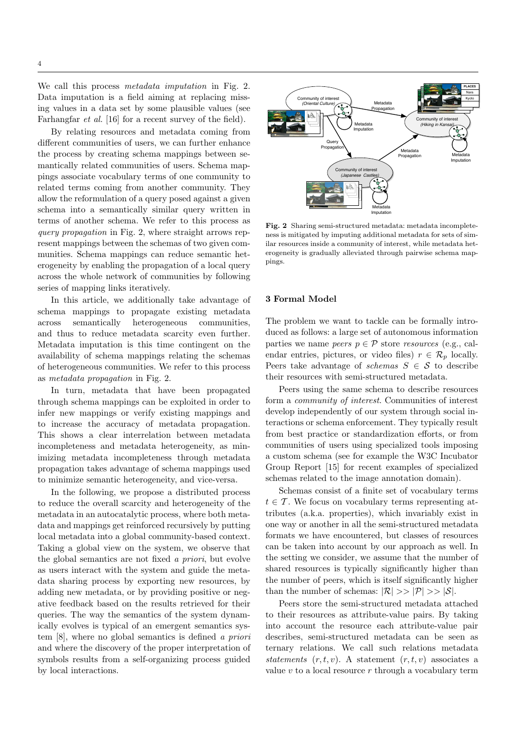We call this process metadata imputation in Fig. 2. Data imputation is a field aiming at replacing missing values in a data set by some plausible values (see Farhangfar *et al.* [16] for a recent survey of the field).

By relating resources and metadata coming from different communities of users, we can further enhance the process by creating schema mappings between semantically related communities of users. Schema mappings associate vocabulary terms of one community to related terms coming from another community. They allow the reformulation of a query posed against a given schema into a semantically similar query written in terms of another schema. We refer to this process as query propagation in Fig. 2, where straight arrows represent mappings between the schemas of two given communities. Schema mappings can reduce semantic heterogeneity by enabling the propagation of a local query across the whole network of communities by following series of mapping links iteratively.

In this article, we additionally take advantage of schema mappings to propagate existing metadata across semantically heterogeneous communities, and thus to reduce metadata scarcity even further. Metadata imputation is this time contingent on the availability of schema mappings relating the schemas of heterogeneous communities. We refer to this process as metadata propagation in Fig. 2.

In turn, metadata that have been propagated through schema mappings can be exploited in order to infer new mappings or verify existing mappings and to increase the accuracy of metadata propagation. This shows a clear interrelation between metadata incompleteness and metadata heterogeneity, as minimizing metadata incompleteness through metadata propagation takes advantage of schema mappings used to minimize semantic heterogeneity, and vice-versa.

In the following, we propose a distributed process to reduce the overall scarcity and heterogeneity of the metadata in an autocatalytic process, where both metadata and mappings get reinforced recursively by putting local metadata into a global community-based context. Taking a global view on the system, we observe that the global semantics are not fixed a priori, but evolve as users interact with the system and guide the metadata sharing process by exporting new resources, by adding new metadata, or by providing positive or negative feedback based on the results retrieved for their queries. The way the semantics of the system dynamically evolves is typical of an emergent semantics system [8], where no global semantics is defined a priori and where the discovery of the proper interpretation of symbols results from a self-organizing process guided by local interactions.



Fig. 2 Sharing semi-structured metadata: metadata incompleteness is mitigated by imputing additional metadata for sets of similar resources inside a community of interest, while metadata heterogeneity is gradually alleviated through pairwise schema mappings.

# 3 Formal Model

The problem we want to tackle can be formally introduced as follows: a large set of autonomous information parties we name *peers*  $p \in \mathcal{P}$  store *resources* (e.g., calendar entries, pictures, or video files)  $r \in \mathcal{R}_p$  locally. Peers take advantage of *schemas*  $S \in \mathcal{S}$  to describe their resources with semi-structured metadata.

Peers using the same schema to describe resources form a community of interest. Communities of interest develop independently of our system through social interactions or schema enforcement. They typically result from best practice or standardization efforts, or from communities of users using specialized tools imposing a custom schema (see for example the W3C Incubator Group Report [15] for recent examples of specialized schemas related to the image annotation domain).

Schemas consist of a finite set of vocabulary terms  $t \in \mathcal{T}$ . We focus on vocabulary terms representing attributes (a.k.a. properties), which invariably exist in one way or another in all the semi-structured metadata formats we have encountered, but classes of resources can be taken into account by our approach as well. In the setting we consider, we assume that the number of shared resources is typically significantly higher than the number of peers, which is itself significantly higher than the number of schemas:  $|\mathcal{R}| \gg |\mathcal{P}| \gg |\mathcal{S}|$ .

Peers store the semi-structured metadata attached to their resources as attribute-value pairs. By taking into account the resource each attribute-value pair describes, semi-structured metadata can be seen as ternary relations. We call such relations metadata statements  $(r, t, v)$ . A statement  $(r, t, v)$  associates a value  $v$  to a local resource  $r$  through a vocabulary term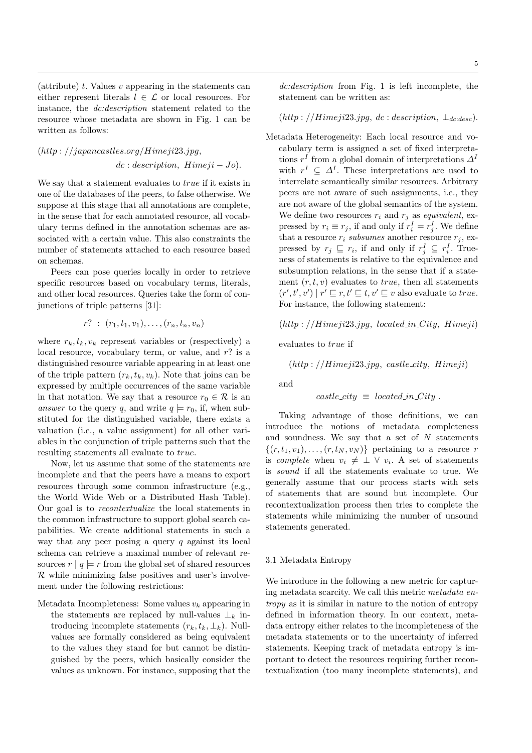(attribute)  $t$ . Values  $v$  appearing in the statements can either represent literals  $l \in \mathcal{L}$  or local resources. For instance, the dc:description statement related to the resource whose metadata are shown in Fig. 1 can be written as follows:

# $(http://japancastles.org/Himeji23.jpg,$  $dc : description.$  Hime $ii - Jo$ ).

We say that a statement evaluates to *true* if it exists in one of the databases of the peers, to false otherwise. We suppose at this stage that all annotations are complete, in the sense that for each annotated resource, all vocabulary terms defined in the annotation schemas are associated with a certain value. This also constraints the number of statements attached to each resource based on schemas.

Peers can pose queries locally in order to retrieve specific resources based on vocabulary terms, literals, and other local resources. Queries take the form of conjunctions of triple patterns [31]:

$$
r? \; : \; (r_1, t_1, v_1), \ldots, (r_n, t_n, v_n)
$$

where  $r_k, t_k, v_k$  represent variables or (respectively) a local resource, vocabulary term, or value, and  $r$ ? is a distinguished resource variable appearing in at least one of the triple pattern  $(r_k, t_k, v_k)$ . Note that joins can be expressed by multiple occurrences of the same variable in that notation. We say that a resource  $r_0 \in \mathcal{R}$  is an answer to the query q, and write  $q \models r_0$ , if, when substituted for the distinguished variable, there exists a valuation (i.e., a value assignment) for all other variables in the conjunction of triple patterns such that the resulting statements all evaluate to true.

Now, let us assume that some of the statements are incomplete and that the peers have a means to export resources through some common infrastructure (e.g., the World Wide Web or a Distributed Hash Table). Our goal is to recontextualize the local statements in the common infrastructure to support global search capabilities. We create additional statements in such a way that any peer posing a query  $q$  against its local schema can retrieve a maximal number of relevant resources  $r | q \models r$  from the global set of shared resources  $\mathcal R$  while minimizing false positives and user's involvement under the following restrictions:

Metadata Incompleteness: Some values  $v_k$  appearing in the statements are replaced by null-values  $\perp_k$  introducing incomplete statements  $(r_k, t_k, \perp_k)$ . Nullvalues are formally considered as being equivalent to the values they stand for but cannot be distinguished by the peers, which basically consider the values as unknown. For instance, supposing that the

dc:description from Fig. 1 is left incomplete, the statement can be written as:

 $(http://Himeji23.jpg, dc: description, \perp_{dc:desc}.$ 

Metadata Heterogeneity: Each local resource and vocabulary term is assigned a set of fixed interpretations  $r<sup>I</sup>$  from a global domain of interpretations  $\Delta<sup>I</sup>$ with  $r^I \subseteq \Delta^I$ . These interpretations are used to interrelate semantically similar resources. Arbitrary peers are not aware of such assignments, i.e., they are not aware of the global semantics of the system. We define two resources  $r_i$  and  $r_j$  as equivalent, expressed by  $r_i \equiv r_j$ , if and only if  $r_i^I = r_j^I$ . We define that a resource  $r_i$  subsumes another resource  $r_j$ , expressed by  $r_j \sqsubseteq r_i$ , if and only if  $r_j^I \subseteq r_i^I$ . Trueness of statements is relative to the equivalence and subsumption relations, in the sense that if a statement  $(r, t, v)$  evaluates to *true*, then all statements  $(r', t', v') | r' \sqsubseteq r, t' \sqsubseteq t, v' \sqsubseteq v$  also evaluate to true. For instance, the following statement:

$$
(http://Himeji23.jpg, \ located.in.City, \ Himeji)
$$

evaluates to true if

 $(http://Himeji23.jpg, \; castle\_city, \; Himeji)$ 

and

$$
castle\_city \equiv located\_in\_City.
$$

Taking advantage of those definitions, we can introduce the notions of metadata completeness and soundness. We say that a set of  $N$  statements  $\{(r, t_1, v_1), \ldots, (r, t_N, v_N)\}\$  pertaining to a resource r is *complete* when  $v_i \neq \perp \forall v_i$ . A set of statements is sound if all the statements evaluate to true. We generally assume that our process starts with sets of statements that are sound but incomplete. Our recontextualization process then tries to complete the statements while minimizing the number of unsound statements generated.

#### 3.1 Metadata Entropy

We introduce in the following a new metric for capturing metadata scarcity. We call this metric metadata entropy as it is similar in nature to the notion of entropy defined in information theory. In our context, metadata entropy either relates to the incompleteness of the metadata statements or to the uncertainty of inferred statements. Keeping track of metadata entropy is important to detect the resources requiring further recontextualization (too many incomplete statements), and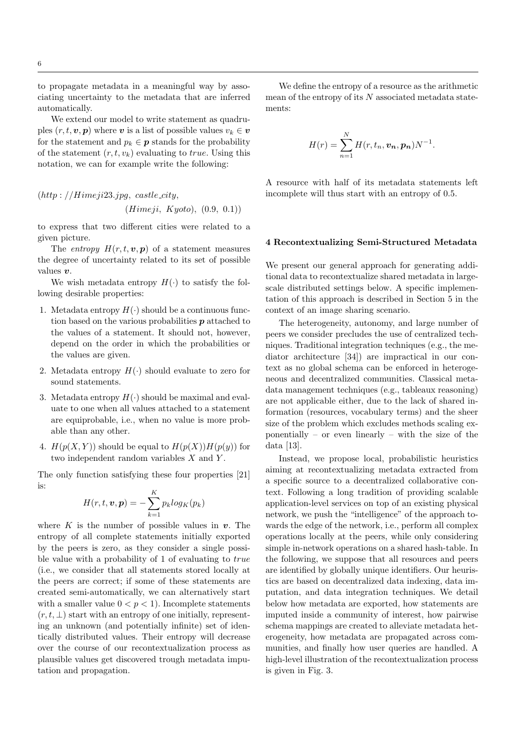to propagate metadata in a meaningful way by associating uncertainty to the metadata that are inferred automatically.

We extend our model to write statement as quadruples  $(r, t, v, p)$  where v is a list of possible values  $v_k \in v$ for the statement and  $p_k \in \mathbf{p}$  stands for the probability of the statement  $(r, t, v_k)$  evaluating to *true*. Using this notation, we can for example write the following:

(http : //Himeji23.jpg, castle city, (Himeji, Kyoto), (0.9, 0.1))

to express that two different cities were related to a given picture.

The entropy  $H(r, t, v, p)$  of a statement measures the degree of uncertainty related to its set of possible values v.

We wish metadata entropy  $H(\cdot)$  to satisfy the following desirable properties:

- 1. Metadata entropy  $H(\cdot)$  should be a continuous function based on the various probabilities  $p$  attached to the values of a statement. It should not, however, depend on the order in which the probabilities or the values are given.
- 2. Metadata entropy  $H(\cdot)$  should evaluate to zero for sound statements.
- 3. Metadata entropy  $H(\cdot)$  should be maximal and evaluate to one when all values attached to a statement are equiprobable, i.e., when no value is more probable than any other.
- 4.  $H(p(X, Y))$  should be equal to  $H(p(X))H(p(y))$  for two independent random variables  $X$  and  $Y$ .

The only function satisfying these four properties [21] is:

$$
H(r, t, \boldsymbol{v}, \boldsymbol{p}) = -\sum_{k=1}^{K} p_k log_K(p_k)
$$

where K is the number of possible values in  $v$ . The entropy of all complete statements initially exported by the peers is zero, as they consider a single possible value with a probability of 1 of evaluating to true (i.e., we consider that all statements stored locally at the peers are correct; if some of these statements are created semi-automatically, we can alternatively start with a smaller value  $0 < p < 1$ ). Incomplete statements  $(r, t, \perp)$  start with an entropy of one initially, representing an unknown (and potentially infinite) set of identically distributed values. Their entropy will decrease over the course of our recontextualization process as plausible values get discovered trough metadata imputation and propagation.

We define the entropy of a resource as the arithmetic mean of the entropy of its  $N$  associated metadata statements:

$$
H(r) = \sum_{n=1}^{N} H(r, t_n, \boldsymbol{v_n}, \boldsymbol{p_n}) N^{-1}.
$$

A resource with half of its metadata statements left incomplete will thus start with an entropy of 0.5.

#### 4 Recontextualizing Semi-Structured Metadata

We present our general approach for generating additional data to recontextualize shared metadata in largescale distributed settings below. A specific implementation of this approach is described in Section 5 in the context of an image sharing scenario.

The heterogeneity, autonomy, and large number of peers we consider precludes the use of centralized techniques. Traditional integration techniques (e.g., the mediator architecture [34]) are impractical in our context as no global schema can be enforced in heterogeneous and decentralized communities. Classical metadata management techniques (e.g., tableaux reasoning) are not applicable either, due to the lack of shared information (resources, vocabulary terms) and the sheer size of the problem which excludes methods scaling exponentially – or even linearly – with the size of the data [13].

Instead, we propose local, probabilistic heuristics aiming at recontextualizing metadata extracted from a specific source to a decentralized collaborative context. Following a long tradition of providing scalable application-level services on top of an existing physical network, we push the "intelligence" of the approach towards the edge of the network, i.e., perform all complex operations locally at the peers, while only considering simple in-network operations on a shared hash-table. In the following, we suppose that all resources and peers are identified by globally unique identifiers. Our heuristics are based on decentralized data indexing, data imputation, and data integration techniques. We detail below how metadata are exported, how statements are imputed inside a community of interest, how pairwise schema mappings are created to alleviate metadata heterogeneity, how metadata are propagated across communities, and finally how user queries are handled. A high-level illustration of the recontextualization process is given in Fig. 3.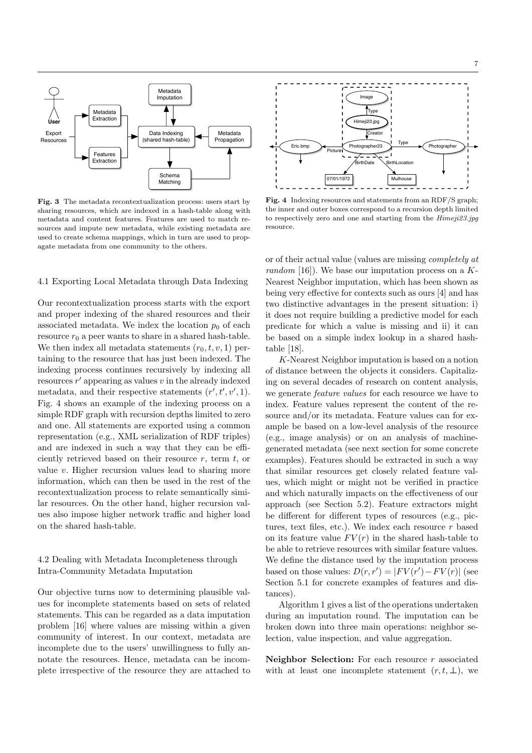

Fig. 3 The metadata recontextualization process: users start by sharing resources, which are indexed in a hash-table along with metadata and content features. Features are used to match resources and impute new metadata, while existing metadata are used to create schema mappings, which in turn are used to propagate metadata from one community to the others.

#### 4.1 Exporting Local Metadata through Data Indexing

Our recontextualization process starts with the export and proper indexing of the shared resources and their associated metadata. We index the location  $p_0$  of each resource  $r_0$  a peer wants to share in a shared hash-table. We then index all metadata statements  $(r_0, t, v, 1)$  pertaining to the resource that has just been indexed. The indexing process continues recursively by indexing all resources  $r'$  appearing as values  $v$  in the already indexed metadata, and their respective statements  $(r', t', v', 1)$ . Fig. 4 shows an example of the indexing process on a simple RDF graph with recursion depths limited to zero and one. All statements are exported using a common representation (e.g., XML serialization of RDF triples) and are indexed in such a way that they can be efficiently retrieved based on their resource  $r$ , term  $t$ , or value v. Higher recursion values lead to sharing more information, which can then be used in the rest of the recontextualization process to relate semantically similar resources. On the other hand, higher recursion values also impose higher network traffic and higher load on the shared hash-table.

# 4.2 Dealing with Metadata Incompleteness through Intra-Community Metadata Imputation

Our objective turns now to determining plausible values for incomplete statements based on sets of related statements. This can be regarded as a data imputation problem [16] where values are missing within a given community of interest. In our context, metadata are incomplete due to the users' unwillingness to fully annotate the resources. Hence, metadata can be incomplete irrespective of the resource they are attached to



Fig. 4 Indexing resources and statements from an RDF/S graph; the inner and outer boxes correspond to a recursion depth limited to respectively zero and one and starting from the  $Himeji23.jpg$ resource.

or of their actual value (values are missing completely at random [16]). We base our imputation process on a  $K$ -Nearest Neighbor imputation, which has been shown as being very effective for contexts such as ours [4] and has two distinctive advantages in the present situation: i) it does not require building a predictive model for each predicate for which a value is missing and ii) it can be based on a simple index lookup in a shared hashtable [18].

K-Nearest Neighbor imputation is based on a notion of distance between the objects it considers. Capitalizing on several decades of research on content analysis, we generate feature values for each resource we have to index. Feature values represent the content of the resource and/or its metadata. Feature values can for example be based on a low-level analysis of the resource (e.g., image analysis) or on an analysis of machinegenerated metadata (see next section for some concrete examples). Features should be extracted in such a way that similar resources get closely related feature values, which might or might not be verified in practice and which naturally impacts on the effectiveness of our approach (see Section 5.2). Feature extractors might be different for different types of resources (e.g., pictures, text files, etc.). We index each resource  $r$  based on its feature value  $FV(r)$  in the shared hash-table to be able to retrieve resources with similar feature values. We define the distance used by the imputation process based on those values:  $D(r, r') = |F V(r') - F V(r)|$  (see Section 5.1 for concrete examples of features and distances).

Algorithm 1 gives a list of the operations undertaken during an imputation round. The imputation can be broken down into three main operations: neighbor selection, value inspection, and value aggregation.

Neighbor Selection: For each resource  $r$  associated with at least one incomplete statement  $(r, t, \perp)$ , we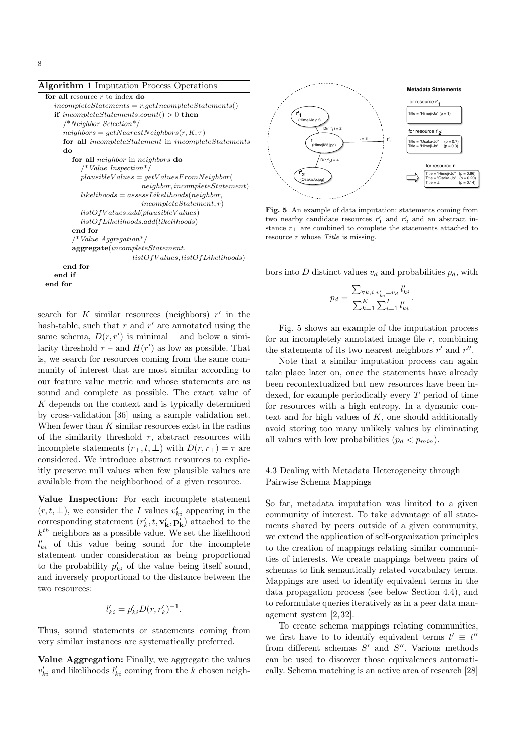8

Algorithm 1 Imputation Process Operations

| for all resource $r$ to index do                                  |
|-------------------------------------------------------------------|
| $incomplete Statements = r.getIncompleteStatements()$             |
| if incompleteStatements.count() > 0 then                          |
| $/*Neighbour Selection*/$                                         |
| $neighbors = getNearestNeighbors(r, K, \tau)$                     |
| for all <i>incompleteStatement</i> in <i>incompleteStatements</i> |
| do                                                                |
| for all <i>neighbor</i> in <i>neighbors</i> do                    |
| $/* Value Inspection*/$                                           |
| $plausibleValues = getValuesFromNeighbour($                       |
| neighbor, incomplete Statement)                                   |
| $likelihoods = assessLikelihoods(neighbor,$                       |
| incompleteStatement, r)                                           |
| listOfValues.add(plausibleValues)                                 |
| listOfLikelihoods.add(likelihoods)                                |
| end for                                                           |
| $/* Value \, A ggregation*/$                                      |
| $\arg\!\!\!\!\!\! \texttt{regate}(incompleteStatement,$           |
| listOfValues, listOfLikelihoods)                                  |
| end for                                                           |
| end if                                                            |
| end for                                                           |
|                                                                   |



Fig. 5 An example of data imputation: statements coming from two nearby candidate resources  $r'_1$  and  $r'_2$  and an abstract instance  $r_{\perp}$  are combined to complete the statements attached to resource  $r$  whose Title is missing.

bors into  $D$  distinct values  $v_d$  and probabilities  $p_d$ , with

$$
p_d = \frac{\sum_{\forall k, i | v'_{ki} = v_d} l'_{ki}}{\sum_{k=1}^{K} \sum_{i=1}^{I} l'_{ki}}.
$$

search for  $K$  similar resources (neighbors)  $r'$  in the hash-table, such that  $r$  and  $r'$  are annotated using the same schema,  $D(r, r')$  is minimal – and below a similarity threshold  $\tau$  – and  $H(r')$  as low as possible. That is, we search for resources coming from the same community of interest that are most similar according to our feature value metric and whose statements are as sound and complete as possible. The exact value of K depends on the context and is typically determined by cross-validation [36] using a sample validation set. When fewer than  $K$  similar resources exist in the radius of the similarity threshold  $\tau$ , abstract resources with incomplete statements  $(r_+, t, \perp)$  with  $D(r, r_+) = \tau$  are considered. We introduce abstract resources to explicitly preserve null values when few plausible values are available from the neighborhood of a given resource.

Value Inspection: For each incomplete statement  $(r, t, \perp)$ , we consider the I values  $v'_{ki}$  appearing in the corresponding statement  $(r'_{k}, t, \mathbf{v'_{k}}, \mathbf{p'_{k}})$  attached to the  $k^{th}$  neighbors as a possible value. We set the likelihood  $l'_{ki}$  of this value being sound for the incomplete statement under consideration as being proportional to the probability  $p'_{ki}$  of the value being itself sound, and inversely proportional to the distance between the two resources:

$$
l'_{ki} = p'_{ki} D(r, r'_{k})^{-1}.
$$

Thus, sound statements or statements coming from very similar instances are systematically preferred.

Value Aggregation: Finally, we aggregate the values  $v'_{ki}$  and likelihoods  $l'_{ki}$  coming from the k chosen neigh-

Fig. 5 shows an example of the imputation process for an incompletely annotated image file  $r$ , combining the statements of its two nearest neighbors  $r'$  and  $r''$ .

Note that a similar imputation process can again take place later on, once the statements have already been recontextualized but new resources have been indexed, for example periodically every  $T$  period of time for resources with a high entropy. In a dynamic context and for high values of  $K$ , one should additionally avoid storing too many unlikely values by eliminating all values with low probabilities  $(p_d < p_{min})$ .

4.3 Dealing with Metadata Heterogeneity through Pairwise Schema Mappings

So far, metadata imputation was limited to a given community of interest. To take advantage of all statements shared by peers outside of a given community, we extend the application of self-organization principles to the creation of mappings relating similar communities of interests. We create mappings between pairs of schemas to link semantically related vocabulary terms. Mappings are used to identify equivalent terms in the data propagation process (see below Section 4.4), and to reformulate queries iteratively as in a peer data management system [2, 32].

To create schema mappings relating communities, we first have to to identify equivalent terms  $t' \equiv t''$ from different schemas  $S'$  and  $S''$ . Various methods can be used to discover those equivalences automatically. Schema matching is an active area of research [28]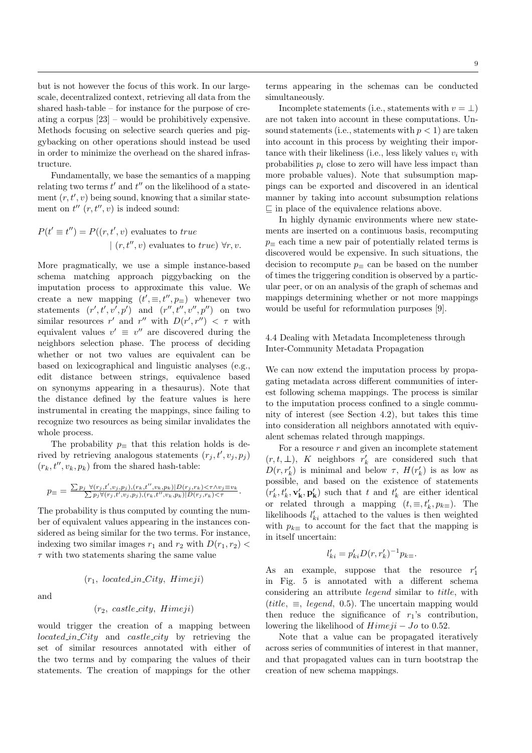but is not however the focus of this work. In our largescale, decentralized context, retrieving all data from the shared hash-table – for instance for the purpose of creating a corpus [23] – would be prohibitively expensive. Methods focusing on selective search queries and piggybacking on other operations should instead be used in order to minimize the overhead on the shared infrastructure.

Fundamentally, we base the semantics of a mapping relating two terms  $t'$  and  $t''$  on the likelihood of a statement  $(r, t', v)$  being sound, knowing that a similar statement on  $t''(r, t'', v)$  is indeed sound:

$$
P(t' \equiv t'') = P((r, t', v) \text{ evaluates to } true
$$

$$
(r, t'', v) \text{ evaluates to } true) \,\forall r, v.
$$

More pragmatically, we use a simple instance-based schema matching approach piggybacking on the imputation process to approximate this value. We create a new mapping  $(t', \equiv, t'', p_{\equiv})$  whenever two statements  $(r', t', v', p')$  and  $(r'', t'', v'', p'')$  on two similar resources r' and r'' with  $D(r', r'') < \tau$  with equivalent values  $v' \equiv v''$  are discovered during the neighbors selection phase. The process of deciding whether or not two values are equivalent can be based on lexicographical and linguistic analyses (e.g., edit distance between strings, equivalence based on synonyms appearing in a thesaurus). Note that the distance defined by the feature values is here instrumental in creating the mappings, since failing to recognize two resources as being similar invalidates the whole process.

The probability  $p$ <sub>≡</sub> that this relation holds is derived by retrieving analogous statements  $(r_j, t', v_j, p_j)$  $(r_k, t'', v_k, p_k)$  from the shared hash-table:

$$
p_{\equiv} = \frac{\sum p_j \ \forall (r_j, t', v_j, p_j), (r_k, t'', v_k, p_k) |D(r_j, r_k) < \tau \wedge v_j \equiv v_k}{\sum p_j \forall (r_j, t', v_j, p_j), (r_k, t'', v_k, p_k) |D(r_j, r_k) < \tau}.
$$

The probability is thus computed by counting the number of equivalent values appearing in the instances considered as being similar for the two terms. For instance, indexing two similar images  $r_1$  and  $r_2$  with  $D(r_1, r_2)$  $\tau$  with two statements sharing the same value

$$
(r_1, located\_in\_City, \ Himeji)
$$

and

$$
(r_2, \; castle\_city, \; Himeji)
$$

would trigger the creation of a mapping between located in City and castle city by retrieving the set of similar resources annotated with either of the two terms and by comparing the values of their statements. The creation of mappings for the other

terms appearing in the schemas can be conducted simultaneously.

Incomplete statements (i.e., statements with  $v = \perp$ ) are not taken into account in these computations. Unsound statements (i.e., statements with  $p < 1$ ) are taken into account in this process by weighting their importance with their likeliness (i.e., less likely values  $v_i$  with probabilities  $p_i$  close to zero will have less impact than more probable values). Note that subsumption mappings can be exported and discovered in an identical manner by taking into account subsumption relations  $\Box$  in place of the equivalence relations above.

In highly dynamic environments where new statements are inserted on a continuous basis, recomputing  $p_\equiv$  each time a new pair of potentially related terms is discovered would be expensive. In such situations, the decision to recompute  $p_{\equiv}$  can be based on the number of times the triggering condition is observed by a particular peer, or on an analysis of the graph of schemas and mappings determining whether or not more mappings would be useful for reformulation purposes [9].

## 4.4 Dealing with Metadata Incompleteness through Inter-Community Metadata Propagation

We can now extend the imputation process by propagating metadata across different communities of interest following schema mappings. The process is similar to the imputation process confined to a single community of interest (see Section 4.2), but takes this time into consideration all neighbors annotated with equivalent schemas related through mappings.

For a resource  $r$  and given an incomplete statement  $(r, t, \perp)$ , K neighbors  $r'_k$  are considered such that  $D(r, r'_k)$  is minimal and below  $\tau$ ,  $H(r'_k)$  is as low as possible, and based on the existence of statements  $(r'_k, t'_k, \mathbf{v'_k}, \mathbf{p'_k})$  such that t and  $t'_k$  are either identical or related through a mapping  $(t, \equiv, t'_k, p_{k\equiv})$ . The likelihoods  $l'_{ki}$  attached to the values is then weighted with  $p_{k\equiv}$  to account for the fact that the mapping is in itself uncertain:

$$
l'_{ki} = p'_{ki} D(r, r'_{k})^{-1} p_{k}.
$$

As an example, suppose that the resource  $r'_1$ in Fig. 5 is annotated with a different schema considering an attribute legend similar to title, with (title,  $\equiv$ , legend, 0.5). The uncertain mapping would then reduce the significance of  $r_1$ 's contribution, lowering the likelihood of  $Himeji - Jo$  to 0.52.

Note that a value can be propagated iteratively across series of communities of interest in that manner, and that propagated values can in turn bootstrap the creation of new schema mappings.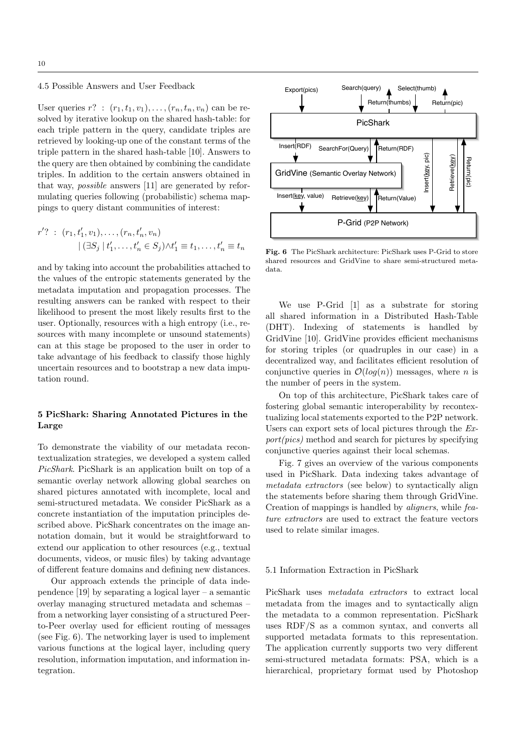# 4.5 Possible Answers and User Feedback

User queries  $r$ ? :  $(r_1, t_1, v_1), \ldots, (r_n, t_n, v_n)$  can be resolved by iterative lookup on the shared hash-table: for each triple pattern in the query, candidate triples are retrieved by looking-up one of the constant terms of the triple pattern in the shared hash-table [10]. Answers to the query are then obtained by combining the candidate triples. In addition to the certain answers obtained in that way, possible answers [11] are generated by reformulating queries following (probabilistic) schema mappings to query distant communities of interest:

$$
r' ? \; : \; (r_1, t'_1, v_1), \dots, (r_n, t'_n, v_n) \\
(\exists S_j \mid t'_1, \dots, t'_n \in S_j) \land t'_1 \equiv t_1, \dots, t'_n \equiv t_n
$$

and by taking into account the probabilities attached to the values of the entropic statements generated by the metadata imputation and propagation processes. The resulting answers can be ranked with respect to their likelihood to present the most likely results first to the user. Optionally, resources with a high entropy (i.e., resources with many incomplete or unsound statements) can at this stage be proposed to the user in order to take advantage of his feedback to classify those highly uncertain resources and to bootstrap a new data imputation round.

# 5 PicShark: Sharing Annotated Pictures in the Large

To demonstrate the viability of our metadata recontextualization strategies, we developed a system called PicShark. PicShark is an application built on top of a semantic overlay network allowing global searches on shared pictures annotated with incomplete, local and semi-structured metadata. We consider PicShark as a concrete instantiation of the imputation principles described above. PicShark concentrates on the image annotation domain, but it would be straightforward to extend our application to other resources (e.g., textual documents, videos, or music files) by taking advantage of different feature domains and defining new distances.

Our approach extends the principle of data independence [19] by separating a logical layer – a semantic overlay managing structured metadata and schemas – from a networking layer consisting of a structured Peerto-Peer overlay used for efficient routing of messages (see Fig. 6). The networking layer is used to implement various functions at the logical layer, including query resolution, information imputation, and information integration.



Fig. 6 The PicShark architecture: PicShark uses P-Grid to store shared resources and GridVine to share semi-structured metadata.

We use P-Grid [1] as a substrate for storing all shared information in a Distributed Hash-Table (DHT). Indexing of statements is handled by GridVine [10]. GridVine provides efficient mechanisms for storing triples (or quadruples in our case) in a decentralized way, and facilitates efficient resolution of conjunctive queries in  $\mathcal{O}(log(n))$  messages, where *n* is the number of peers in the system.

On top of this architecture, PicShark takes care of fostering global semantic interoperability by recontextualizing local statements exported to the P2P network. Users can export sets of local pictures through the Export(pics) method and search for pictures by specifying conjunctive queries against their local schemas.

Fig. 7 gives an overview of the various components used in PicShark. Data indexing takes advantage of metadata extractors (see below) to syntactically align the statements before sharing them through GridVine. Creation of mappings is handled by aligners, while feature extractors are used to extract the feature vectors used to relate similar images.

#### 5.1 Information Extraction in PicShark

PicShark uses metadata extractors to extract local metadata from the images and to syntactically align the metadata to a common representation. PicShark uses RDF/S as a common syntax, and converts all supported metadata formats to this representation. The application currently supports two very different semi-structured metadata formats: PSA, which is a hierarchical, proprietary format used by Photoshop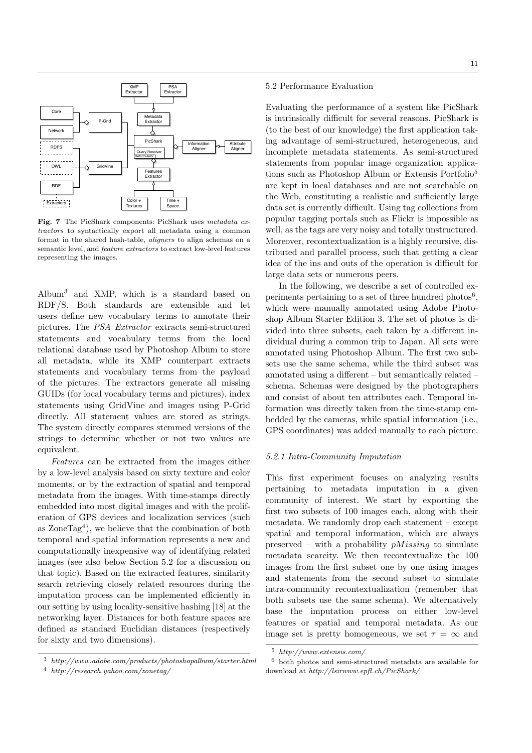

Fig. 7 The PicShark components: PicShark uses metadata extractors to syntactically export all metadata using a common format in the shared hash-table, aligners to align schemas on a semantic level, and feature extractors to extract low-level features representing the images.

Album<sup>3</sup> and XMP, which is a standard based on RDF/S. Both standards are extensible and let users define new vocabulary terms to annotate their pictures. The PSA Extractor extracts semi-structured statements and vocabulary terms from the local relational database used by Photoshop Album to store all metadata, while its XMP counterpart extracts statements and vocabulary terms from the payload of the pictures. The extractors generate all missing GUIDs (for local vocabulary terms and pictures), index statements using GridVine and images using P-Grid directly. All statement values are stored as strings. The system directly compares stemmed versions of the strings to determine whether or not two values are equivalent.

Features can be extracted from the images either by a low-level analysis based on sixty texture and color moments, or by the extraction of spatial and temporal metadata from the images. With time-stamps directly embedded into most digital images and with the proliferation of GPS devices and localization services (such as  $\text{ZoneTag}^4$ ), we believe that the combination of both temporal and spatial information represents a new and computationally inexpensive way of identifying related images (see also below Section 5.2 for a discussion on that topic). Based on the extracted features, similarity search retrieving closely related resources during the imputation process can be implemented efficiently in our setting by using locality-sensitive hashing [18] at the networking layer. Distances for both feature spaces are defined as standard Euclidian distances (respectively for sixty and two dimensions).

<sup>4</sup> http://research.yahoo.com/zonetag/

#### 5.2 Performance Evaluation

Evaluating the performance of a system like PicShark is intrinsically difficult for several reasons. PicShark is (to the best of our knowledge) the first application taking advantage of semi-structured, heterogeneous, and incomplete metadata statements. As semi-structured statements from popular image organization applications such as Photoshop Album or Extensis Portfolio<sup>5</sup> are kept in local databases and are not searchable on the Web, constituting a realistic and sufficiently large data set is currently difficult. Using tag collections from popular tagging portals such as Flickr is impossible as well, as the tags are very noisy and totally unstructured. Moreover, recontextualization is a highly recursive, distributed and parallel process, such that getting a clear idea of the ins and outs of the operation is difficult for large data sets or numerous peers.

In the following, we describe a set of controlled experiments pertaining to a set of three hundred photos<sup>6</sup>, which were manually annotated using Adobe Photoshop Album Starter Edition 3. The set of photos is divided into three subsets, each taken by a different individual during a common trip to Japan. All sets were annotated using Photoshop Album. The first two subsets use the same schema, while the third subset was annotated using a different – but semantically related – schema. Schemas were designed by the photographers and consist of about ten attributes each. Temporal information was directly taken from the time-stamp embedded by the cameras, while spatial information (i.e., GPS coordinates) was added manually to each picture.

# 5.2.1 Intra-Community Imputation

This first experiment focuses on analyzing results pertaining to metadata imputation in a given community of interest. We start by exporting the first two subsets of 100 images each, along with their metadata. We randomly drop each statement – except spatial and temporal information, which are always preserved – with a probability  $pMissing$  to simulate metadata scarcity. We then recontextualize the 100 images from the first subset one by one using images and statements from the second subset to simulate intra-community recontextualization (remember that both subsets use the same schema). We alternatively base the imputation process on either low-level features or spatial and temporal metadata. As our image set is pretty homogeneous, we set  $\tau = \infty$  and

 $3$  http://www.adobe.com/products/photoshopalbum/starter.html

 $5 \; http://www.extensis.com/$ 

 $^6\,$  both photos and semi-structured metadata are available for download at http://lsirwww.epfl.ch/PicShark/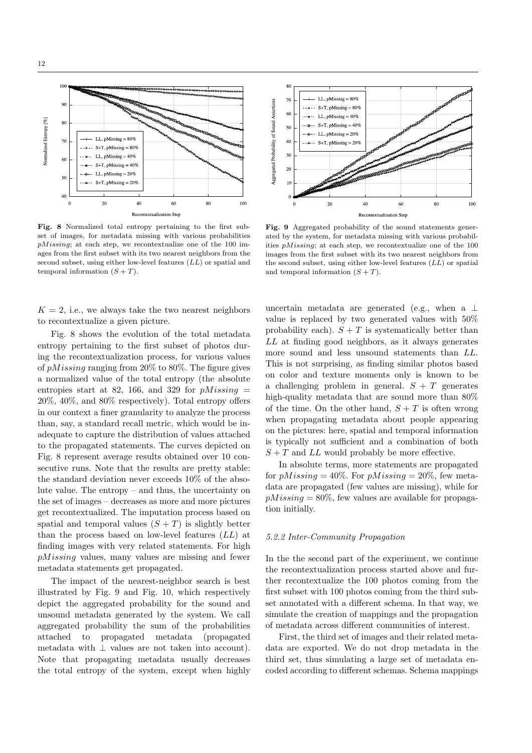

Fig. 8 Normalized total entropy pertaining to the first subset of images, for metadata missing with various probabilities  $pMissing$ ; at each step, we recontextualize one of the 100 images from the first subset with its two nearest neighbors from the second subset, using either low-level features (LL) or spatial and temporal information  $(S + T)$ .

 $K = 2$ , i.e., we always take the two nearest neighbors to recontextualize a given picture.

Fig. 8 shows the evolution of the total metadata entropy pertaining to the first subset of photos during the recontextualization process, for various values of pM issing ranging from 20% to 80%. The figure gives a normalized value of the total entropy (the absolute entropies start at 82, 166, and 329 for  $pMissing$ 20%, 40%, and 80% respectively). Total entropy offers in our context a finer granularity to analyze the process than, say, a standard recall metric, which would be inadequate to capture the distribution of values attached to the propagated statements. The curves depicted on Fig. 8 represent average results obtained over 10 consecutive runs. Note that the results are pretty stable: the standard deviation never exceeds 10% of the absolute value. The entropy – and thus, the uncertainty on the set of images – decreases as more and more pictures get recontextualized. The imputation process based on spatial and temporal values  $(S + T)$  is slightly better than the process based on low-level features (LL) at finding images with very related statements. For high  $pMissing$  values, many values are missing and fewer metadata statements get propagated.

The impact of the nearest-neighbor search is best illustrated by Fig. 9 and Fig. 10, which respectively depict the aggregated probability for the sound and unsound metadata generated by the system. We call aggregated probability the sum of the probabilities attached to propagated metadata (propagated metadata with ⊥ values are not taken into account). Note that propagating metadata usually decreases the total entropy of the system, except when highly



Fig. 9 Aggregated probability of the sound statements generated by the system, for metadata missing with various probabilities  $pMissing$ ; at each step, we recontextualize one of the 100 images from the first subset with its two nearest neighbors from the second subset, using either low-level features  $(LL)$  or spatial and temporal information  $(S + T)$ .

uncertain metadata are generated (e.g., when a  $\perp$ value is replaced by two generated values with 50% probability each).  $S + T$  is systematically better than  $LL$  at finding good neighbors, as it always generates more sound and less unsound statements than LL. This is not surprising, as finding similar photos based on color and texture moments only is known to be a challenging problem in general.  $S + T$  generates high-quality metadata that are sound more than 80% of the time. On the other hand,  $S + T$  is often wrong when propagating metadata about people appearing on the pictures: here, spatial and temporal information is typically not sufficient and a combination of both  $S + T$  and  $LL$  would probably be more effective.

In absolute terms, more statements are propagated for  $pMissing = 40\%$ . For  $pMissing = 20\%$ , few metadata are propagated (few values are missing), while for  $pMissing = 80\%$ , few values are available for propagation initially.

#### 5.2.2 Inter-Community Propagation

In the the second part of the experiment, we continue the recontextualization process started above and further recontextualize the 100 photos coming from the first subset with 100 photos coming from the third subset annotated with a different schema. In that way, we simulate the creation of mappings and the propagation of metadata across different communities of interest.

First, the third set of images and their related metadata are exported. We do not drop metadata in the third set, thus simulating a large set of metadata encoded according to different schemas. Schema mappings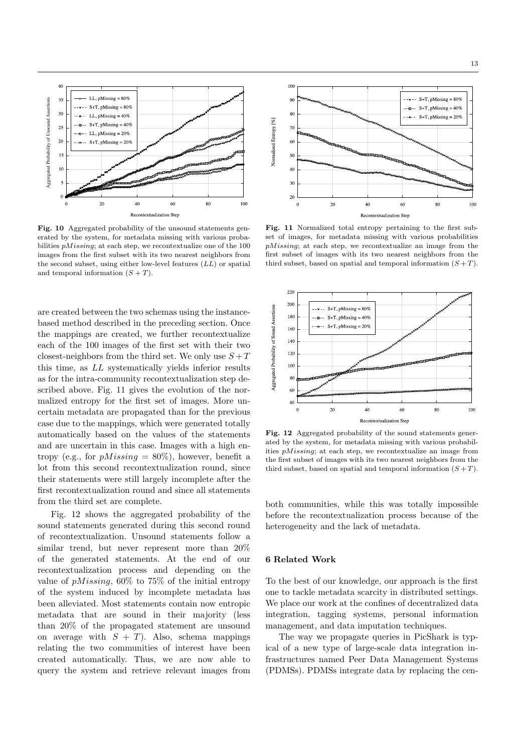

Fig. 10 Aggregated probability of the unsound statements generated by the system, for metadata missing with various probabilities  $pMissing$ ; at each step, we recontextualize one of the 100 images from the first subset with its two nearest neighbors from the second subset, using either low-level features (LL) or spatial and temporal information  $(S + T)$ .

are created between the two schemas using the instancebased method described in the preceding section. Once the mappings are created, we further recontextualize each of the 100 images of the first set with their two closest-neighbors from the third set. We only use  $S + T$ this time, as LL systematically yields inferior results as for the intra-community recontextualization step described above. Fig. 11 gives the evolution of the normalized entropy for the first set of images. More uncertain metadata are propagated than for the previous case due to the mappings, which were generated totally automatically based on the values of the statements and are uncertain in this case. Images with a high entropy (e.g., for  $pMissing = 80\%$ ), however, benefit a lot from this second recontextualization round, since their statements were still largely incomplete after the first recontextualization round and since all statements from the third set are complete.

Fig. 12 shows the aggregated probability of the sound statements generated during this second round of recontextualization. Unsound statements follow a similar trend, but never represent more than 20% of the generated statements. At the end of our recontextualization process and depending on the value of  $pMissing$ , 60% to 75% of the initial entropy of the system induced by incomplete metadata has been alleviated. Most statements contain now entropic metadata that are sound in their majority (less than 20% of the propagated statement are unsound on average with  $S + T$ ). Also, schema mappings relating the two communities of interest have been created automatically. Thus, we are now able to query the system and retrieve relevant images from



Fig. 11 Normalized total entropy pertaining to the first subset of images, for metadata missing with various probabilities  $pMissing$ ; at each step, we recontextualize an image from the first subset of images with its two nearest neighbors from the third subset, based on spatial and temporal information  $(S+T)$ .



Fig. 12 Aggregated probability of the sound statements generated by the system, for metadata missing with various probabilities  $pMissing$ ; at each step, we recontextualize an image from the first subset of images with its two nearest neighbors from the third subset, based on spatial and temporal information  $(S+T)$ .

both communities, while this was totally impossible before the recontextualization process because of the heterogeneity and the lack of metadata.

#### 6 Related Work

To the best of our knowledge, our approach is the first one to tackle metadata scarcity in distributed settings. We place our work at the confines of decentralized data integration, tagging systems, personal information management, and data imputation techniques.

The way we propagate queries in PicShark is typical of a new type of large-scale data integration infrastructures named Peer Data Management Systems (PDMSs). PDMSs integrate data by replacing the cen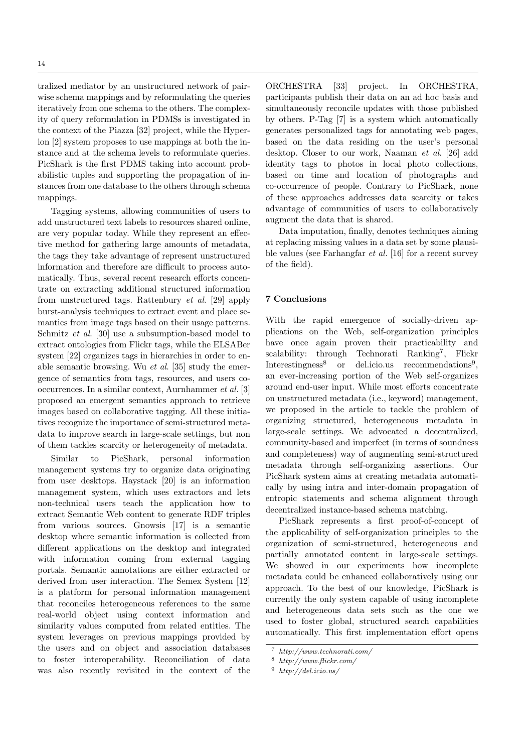tralized mediator by an unstructured network of pairwise schema mappings and by reformulating the queries iteratively from one schema to the others. The complexity of query reformulation in PDMSs is investigated in the context of the Piazza [32] project, while the Hyperion [2] system proposes to use mappings at both the instance and at the schema levels to reformulate queries. PicShark is the first PDMS taking into account probabilistic tuples and supporting the propagation of instances from one database to the others through schema mappings.

Tagging systems, allowing communities of users to add unstructured text labels to resources shared online, are very popular today. While they represent an effective method for gathering large amounts of metadata, the tags they take advantage of represent unstructured information and therefore are difficult to process automatically. Thus, several recent research efforts concentrate on extracting additional structured information from unstructured tags. Rattenbury et al. [29] apply burst-analysis techniques to extract event and place semantics from image tags based on their usage patterns. Schmitz et al. [30] use a subsumption-based model to extract ontologies from Flickr tags, while the ELSABer system [22] organizes tags in hierarchies in order to enable semantic browsing. Wu et al. [35] study the emergence of semantics from tags, resources, and users cooccurrences. In a similar context, Aurnhammer et al. [3] proposed an emergent semantics approach to retrieve images based on collaborative tagging. All these initiatives recognize the importance of semi-structured metadata to improve search in large-scale settings, but non of them tackles scarcity or heterogeneity of metadata.

Similar to PicShark, personal information management systems try to organize data originating from user desktops. Haystack [20] is an information management system, which uses extractors and lets non-technical users teach the application how to extract Semantic Web content to generate RDF triples from various sources. Gnowsis [17] is a semantic desktop where semantic information is collected from different applications on the desktop and integrated with information coming from external tagging portals. Semantic annotations are either extracted or derived from user interaction. The Semex System [12] is a platform for personal information management that reconciles heterogeneous references to the same real-world object using context information and similarity values computed from related entities. The system leverages on previous mappings provided by the users and on object and association databases to foster interoperability. Reconciliation of data was also recently revisited in the context of the ORCHESTRA [33] project. In ORCHESTRA, participants publish their data on an ad hoc basis and simultaneously reconcile updates with those published by others. P-Tag [7] is a system which automatically generates personalized tags for annotating web pages, based on the data residing on the user's personal desktop. Closer to our work, Naaman et al. [26] add identity tags to photos in local photo collections, based on time and location of photographs and co-occurrence of people. Contrary to PicShark, none of these approaches addresses data scarcity or takes advantage of communities of users to collaboratively augment the data that is shared.

Data imputation, finally, denotes techniques aiming at replacing missing values in a data set by some plausible values (see Farhangfar et al. [16] for a recent survey of the field).

#### 7 Conclusions

With the rapid emergence of socially-driven applications on the Web, self-organization principles have once again proven their practicability and scalability: through Technorati Ranking<sup>7</sup>, Flickr Interestingness<sup>8</sup> or del.icio.us recommendations<sup>9</sup>, an ever-increasing portion of the Web self-organizes around end-user input. While most efforts concentrate on unstructured metadata (i.e., keyword) management, we proposed in the article to tackle the problem of organizing structured, heterogeneous metadata in large-scale settings. We advocated a decentralized, community-based and imperfect (in terms of soundness and completeness) way of augmenting semi-structured metadata through self-organizing assertions. Our PicShark system aims at creating metadata automatically by using intra and inter-domain propagation of entropic statements and schema alignment through decentralized instance-based schema matching.

PicShark represents a first proof-of-concept of the applicability of self-organization principles to the organization of semi-structured, heterogeneous and partially annotated content in large-scale settings. We showed in our experiments how incomplete metadata could be enhanced collaboratively using our approach. To the best of our knowledge, PicShark is currently the only system capable of using incomplete and heterogeneous data sets such as the one we used to foster global, structured search capabilities automatically. This first implementation effort opens

 $9$  http://del.icio.us/

<sup>7</sup> http://www.technorati.com/

<sup>8</sup> http://www.flickr.com/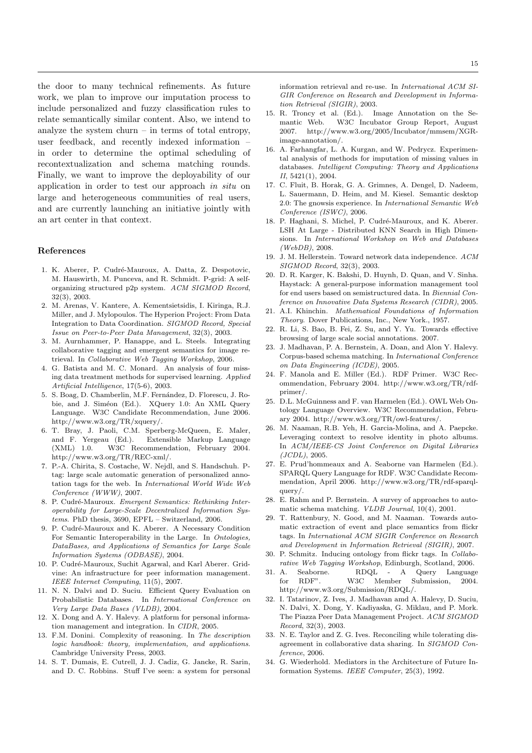the door to many technical refinements. As future work, we plan to improve our imputation process to include personalized and fuzzy classification rules to relate semantically similar content. Also, we intend to analyze the system churn – in terms of total entropy, user feedback, and recently indexed information – in order to determine the optimal scheduling of recontextualization and schema matching rounds. Finally, we want to improve the deployability of our application in order to test our approach in situ on large and heterogeneous communities of real users, and are currently launching an initiative jointly with an art center in that context.

#### References

- 1. K. Aberer, P. Cudré-Mauroux, A. Datta, Z. Despotovic, M. Hauswirth, M. Punceva, and R. Schmidt. P-grid: A selforganizing structured p2p system. ACM SIGMOD Record, 32(3), 2003.
- 2. M. Arenas, V. Kantere, A. Kementsietsidis, I. Kiringa, R.J. Miller, and J. Mylopoulos. The Hyperion Project: From Data Integration to Data Coordination. SIGMOD Record, Special Issue on Peer-to-Peer Data Management, 32(3), 2003.
- 3. M. Aurnhammer, P. Hanappe, and L. Steels. Integrating collaborative tagging and emergent semantics for image retrieval. In Collaborative Web Tagging Workshop, 2006.
- 4. G. Batista and M. C. Monard. An analysis of four missing data treatment methods for supervised learning. Applied Artificial Intelligence, 17(5-6), 2003.
- 5. S. Boag, D. Chamberlin, M.F. Fernández, D. Florescu, J. Robie, and J. Siméon (Ed.). XQuery 1.0: An XML Query Language. W3C Candidate Recommendation, June 2006. http://www.w3.org/TR/xquery/.
- 6. T. Bray, J. Paoli, C.M. Sperberg-McQueen, E. Maler, and F. Yergeau (Ed.). Extensible Markup Language (XML) 1.0. W3C Recommendation, February 2004. http://www.w3.org/TR/REC-xml/.
- 7. P.-A. Chirita, S. Costache, W. Nejdl, and S. Handschuh. Ptag: large scale automatic generation of personalized annotation tags for the web. In International World Wide Web Conference (WWW), 2007.
- 8. P. Cudré-Mauroux. Emergent Semantics: Rethinking Interoperability for Large-Scale Decentralized Information Systems. PhD thesis, 3690, EPFL – Switzerland, 2006.
- 9. P. Cudré-Mauroux and K. Aberer. A Necessary Condition For Semantic Interoperability in the Large. In Ontologies, DataBases, and Applications of Semantics for Large Scale Information Systems (ODBASE), 2004.
- 10. P. Cudré-Mauroux, Suchit Agarwal, and Karl Aberer. Gridvine: An infrastructure for peer information management. IEEE Internet Computing, 11(5), 2007.
- 11. N. N. Dalvi and D. Suciu. Efficient Query Evaluation on Probabilistic Databases. In International Conference on Very Large Data Bases (VLDB), 2004.
- 12. X. Dong and A. Y. Halevy. A platform for personal information management and integration. In CIDR, 2005.
- 13. F.M. Donini. Complexity of reasoning. In The description logic handbook: theory, implementation, and applications. Cambridge University Press, 2003.
- 14. S. T. Dumais, E. Cutrell, J. J. Cadiz, G. Jancke, R. Sarin, and D. C. Robbins. Stuff I've seen: a system for personal

information retrieval and re-use. In International ACM SI-GIR Conference on Research and Development in Information Retrieval (SIGIR), 2003.

- 15. R. Troncy et al. (Ed.). Image Annotation on the Semantic Web. W3C Incubator Group Report, August 2007. http://www.w3.org/2005/Incubator/mmsem/XGRimage-annotation/.
- 16. A. Farhangfar, L. A. Kurgan, and W. Pedrycz. Experimental analysis of methods for imputation of missing values in databases. Intelligent Computing: Theory and Applications II, 5421(1), 2004.
- 17. C. Fluit, B. Horak, G. A. Grimnes, A. Dengel, D. Nadeem, L. Sauermann, D. Heim, and M. Kiesel. Semantic desktop 2.0: The gnowsis experience. In International Semantic Web Conference (ISWC), 2006.
- 18. P. Haghani, S. Michel, P. Cudré-Mauroux, and K. Aberer. LSH At Large - Distributed KNN Search in High Dimensions. In International Workshop on Web and Databases (WebDB), 2008.
- 19. J. M. Hellerstein. Toward network data independence. ACM SIGMOD Record, 32(3), 2003.
- 20. D. R. Karger, K. Bakshi, D. Huynh, D. Quan, and V. Sinha. Haystack: A general-purpose information management tool for end users based on semistructured data. In Biennial Conference on Innovative Data Systems Research (CIDR), 2005.
- 21. A.I. Khinchin. Mathematical Foundations of Information Theory. Dover Publications, Inc., New York., 1957.
- 22. R. Li, S. Bao, B. Fei, Z. Su, and Y. Yu. Towards effective browsing of large scale social annotations. 2007.
- 23. J. Madhavan, P. A. Bernstein, A. Doan, and Alon Y. Halevy. Corpus-based schema matching. In International Conference on Data Engineering (ICDE), 2005.
- 24. F. Manola and E. Miller (Ed.). RDF Primer. W3C Recommendation, February 2004. http://www.w3.org/TR/rdfprimer/.
- 25. D.L. McGuinness and F. van Harmelen (Ed.). OWL Web Ontology Language Overview. W3C Recommendation, February 2004. http://www.w3.org/TR/owl-features/.
- 26. M. Naaman, R.B. Yeh, H. Garcia-Molina, and A. Paepcke. Leveraging context to resolve identity in photo albums. In ACM/IEEE-CS Joint Conference on Digital Libraries (JCDL), 2005.
- 27. E. Prud'hommeaux and A. Seaborne van Harmelen (Ed.). SPARQL Query Language for RDF. W3C Candidate Recommendation, April 2006. http://www.w3.org/TR/rdf-sparqlquery/.
- 28. E. Rahm and P. Bernstein. A survey of approaches to automatic schema matching. VLDB Journal, 10(4), 2001.
- 29. T. Rattenbury, N. Good, and M. Naaman. Towards automatic extraction of event and place semantics from flickr tags. In International ACM SIGIR Conference on Research and Development in Information Retrieval (SIGIR), 2007.
- 30. P. Schmitz. Inducing ontology from flickr tags. In Collaborative Web Tagging Workshop, Edinburgh, Scotland, 2006.
- 31. A. Seaborne. RDQL A Query Language for RDF". W3C Member Submission, 2004. http://www.w3.org/Submission/RDQL/.
- 32. I. Tatarinov, Z. Ives, J. Madhavan amd A. Halevy, D. Suciu, N. Dalvi, X. Dong, Y. Kadiyaska, G. Miklau, and P. Mork. The Piazza Peer Data Management Project. ACM SIGMOD Record, 32(3), 2003.
- 33. N. E. Taylor and Z. G. Ives. Reconciling while tolerating disagreement in collaborative data sharing. In SIGMOD Conference, 2006.
- 34. G. Wiederhold. Mediators in the Architecture of Future Information Systems. IEEE Computer, 25(3), 1992.